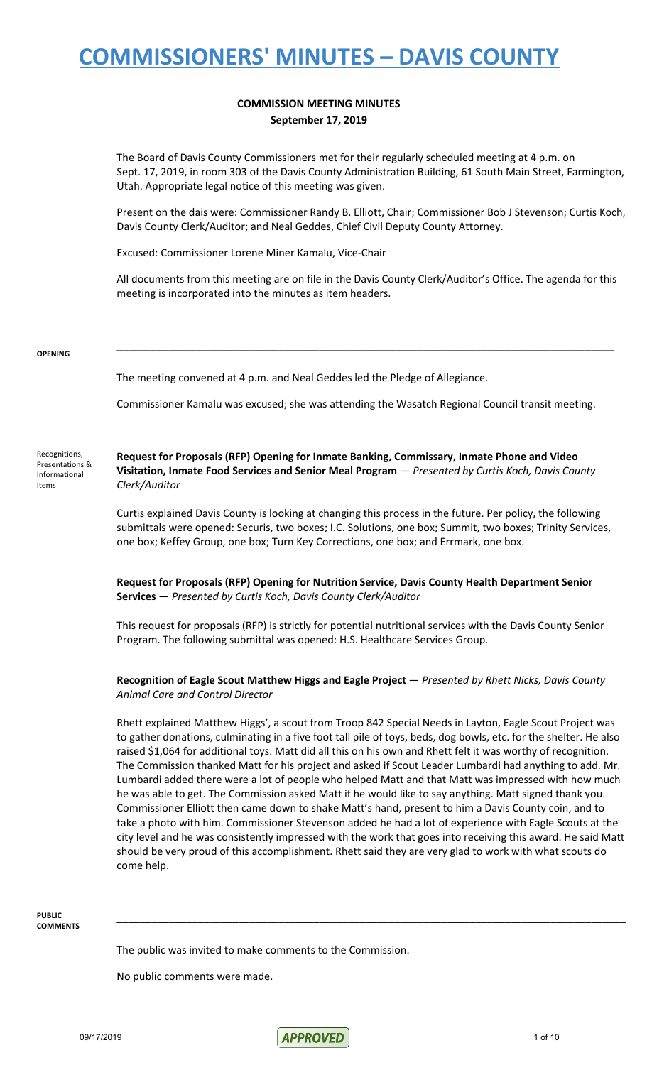#### **COMMISSION MEETING MINUTES September 17, 2019**

The Board of Davis County Commissioners met for their regularly scheduled meeting at 4 p.m. on Sept. 17, 2019, in room 303 of the Davis County Administration Building, 61 South Main Street, Farmington, Utah. Appropriate legal notice of this meeting was given.

Present on the dais were: Commissioner Randy B. Elliott, Chair; Commissioner Bob J Stevenson; Curtis Koch, Davis County Clerk/Auditor; and Neal Geddes, Chief Civil Deputy County Attorney.

Excused: Commissioner Lorene Miner Kamalu, Vice-Chair

All documents from this meeting are on file in the Davis County Clerk/Auditor's Office. The agenda for this meeting is incorporated into the minutes as item headers.

**\_\_\_\_\_\_\_\_\_\_\_\_\_\_\_\_\_\_\_\_\_\_\_\_\_\_\_\_\_\_\_\_\_\_\_\_\_\_\_\_\_\_\_\_\_\_\_\_\_\_\_\_\_\_\_\_\_\_\_\_\_\_\_\_\_\_\_\_\_\_\_\_\_\_\_\_\_\_\_\_\_\_\_\_\_\_**

#### **OPENING**

The meeting convened at 4 p.m. and Neal Geddes led the Pledge of Allegiance.

Commissioner Kamalu was excused; she was attending the Wasatch Regional Council transit meeting.

Recognitions, Presentations & Informational Items

**Request for Proposals (RFP) Opening for Inmate Banking, Commissary, Inmate Phone and Video Visitation, Inmate Food Services and Senior Meal Program** — *Presented by Curtis Koch, Davis County Clerk/Auditor*

Curtis explained Davis County is looking at changing this process in the future. Per policy, the following submittals were opened: Securis, two boxes; I.C. Solutions, one box; Summit, two boxes; Trinity Services, one box; Keffey Group, one box; Turn Key Corrections, one box; and Errmark, one box.

**Request for Proposals (RFP) Opening for Nutrition Service, Davis County Health Department Senior Services** — *Presented by Curtis Koch, Davis County Clerk/Auditor*

This request for proposals (RFP) is strictly for potential nutritional services with the Davis County Senior Program. The following submittal was opened: H.S. Healthcare Services Group.

#### **Recognition of Eagle Scout Matthew Higgs and Eagle Project** — *Presented by Rhett Nicks, Davis County Animal Care and Control Director*

Rhett explained Matthew Higgs', a scout from Troop 842 Special Needs in Layton, Eagle Scout Project was to gather donations, culminating in a five foot tall pile of toys, beds, dog bowls, etc. for the shelter. He also raised \$1,064 for additional toys. Matt did all this on his own and Rhett felt it was worthy of recognition. The Commission thanked Matt for his project and asked if Scout Leader Lumbardi had anything to add. Mr. Lumbardi added there were a lot of people who helped Matt and that Matt was impressed with how much he was able to get. The Commission asked Matt if he would like to say anything. Matt signed thank you. Commissioner Elliott then came down to shake Matt's hand, present to him a Davis County coin, and to take a photo with him. Commissioner Stevenson added he had a lot of experience with Eagle Scouts at the city level and he was consistently impressed with the work that goes into receiving this award. He said Matt should be very proud of this accomplishment. Rhett said they are very glad to work with what scouts do come help.

**\_\_\_\_\_\_\_\_\_\_\_\_\_\_\_\_\_\_\_\_\_\_\_\_\_\_\_\_\_\_\_\_\_\_\_\_\_\_\_\_\_\_\_\_\_\_\_\_\_\_\_\_\_\_\_\_\_\_\_\_\_\_\_\_\_\_\_\_\_\_\_\_\_\_\_\_\_\_\_\_\_\_\_\_\_\_\_\_**

#### **PUBLIC COMMENTS**

The public was invited to make comments to the Commission.

No public comments were made.

09/17/2019 1 of 10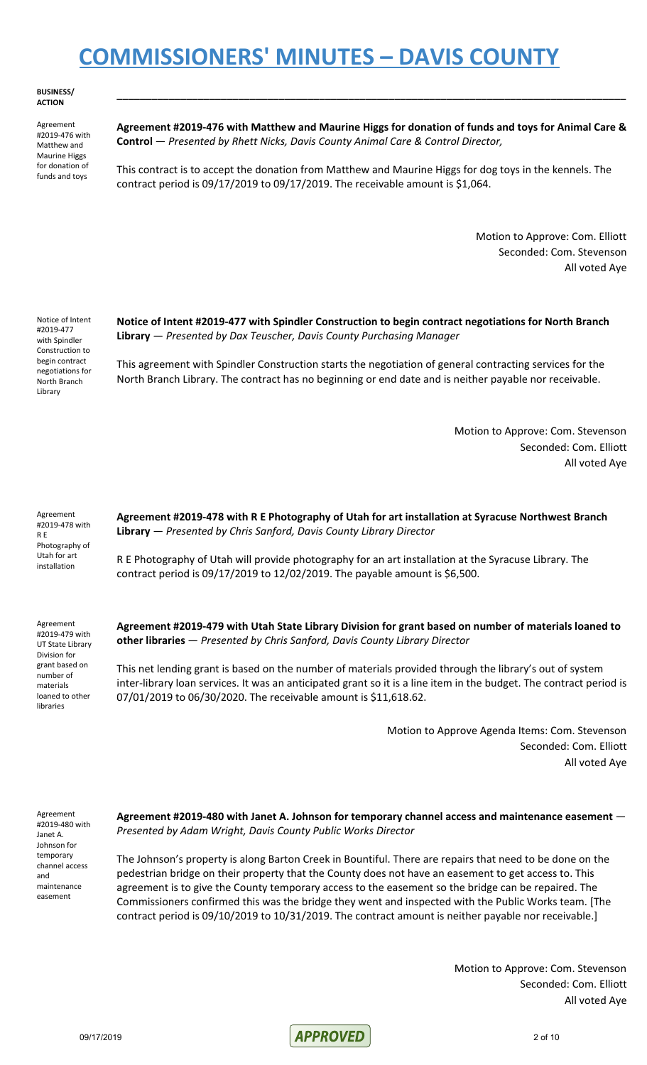**BUSINESS/ ACTION**

Agreement #2019-476 with Matthew and Maurine Higgs for donation of funds and toys

**Agreement #2019-476 with Matthew and Maurine Higgs for donation of funds and toys for Animal Care & Control** — *Presented by Rhett Nicks, Davis County Animal Care & Control Director,*

**\_\_\_\_\_\_\_\_\_\_\_\_\_\_\_\_\_\_\_\_\_\_\_\_\_\_\_\_\_\_\_\_\_\_\_\_\_\_\_\_\_\_\_\_\_\_\_\_\_\_\_\_\_\_\_\_\_\_\_\_\_\_\_\_\_\_\_\_\_\_\_\_\_\_\_\_\_\_\_\_\_\_\_\_\_\_\_\_**

This contract is to accept the donation from Matthew and Maurine Higgs for dog toys in the kennels. The contract period is 09/17/2019 to 09/17/2019. The receivable amount is \$1,064.

> Motion to Approve: Com. Elliott Seconded: Com. Stevenson All voted Aye

Notice of Intent #2019-477 with Spindler Construction to begin contract negotiations for North Branch Library

**Notice of Intent #2019-477 with Spindler Construction to begin contract negotiations for North Branch Library** — *Presented by Dax Teuscher, Davis County Purchasing Manager*

This agreement with Spindler Construction starts the negotiation of general contracting services for the North Branch Library. The contract has no beginning or end date and is neither payable nor receivable.

> Motion to Approve: Com. Stevenson Seconded: Com. Elliott All voted Aye

Agreement #2019-478 with R E Photography of Utah for art installation

**Agreement #2019-478 with R E Photography of Utah for art installation at Syracuse Northwest Branch Library** — *Presented by Chris Sanford, Davis County Library Director*

R E Photography of Utah will provide photography for an art installation at the Syracuse Library. The contract period is 09/17/2019 to 12/02/2019. The payable amount is \$6,500.

Agreement #2019-479 with UT State Library Division for grant based on number of materials loaned to other libraries

**Agreement #2019-479 with Utah State Library Division for grant based on number of materials loaned to other libraries** — *Presented by Chris Sanford, Davis County Library Director*

This net lending grant is based on the number of materials provided through the library's out of system inter-library loan services. It was an anticipated grant so it is a line item in the budget. The contract period is 07/01/2019 to 06/30/2020. The receivable amount is \$11,618.62.

> Motion to Approve Agenda Items: Com. Stevenson Seconded: Com. Elliott All voted Aye

Agreement #2019-480 with Janet A. Johnson for temporary channel access and maintenance easement

**Agreement #2019-480 with Janet A. Johnson for temporary channel access and maintenance easement** — *Presented by Adam Wright, Davis County Public Works Director*

The Johnson's property is along Barton Creek in Bountiful. There are repairs that need to be done on the pedestrian bridge on their property that the County does not have an easement to get access to. This agreement is to give the County temporary access to the easement so the bridge can be repaired. The Commissioners confirmed this was the bridge they went and inspected with the Public Works team. [The contract period is 09/10/2019 to 10/31/2019. The contract amount is neither payable nor receivable.]

> Motion to Approve: Com. Stevenson Seconded: Com. Elliott All voted Aye

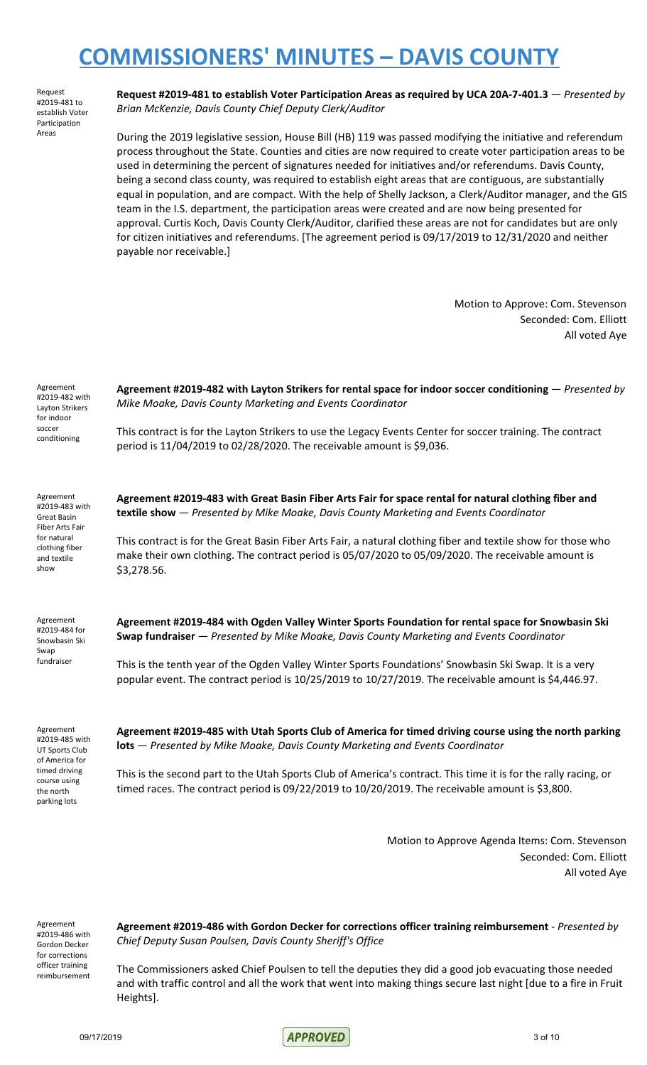Request #2019-481 to establish Voter Participation Areas

**Request #2019-481 to establish Voter Participation Areas as required by UCA 20A-7-401.3** — *Presented by Brian McKenzie, Davis County Chief Deputy Clerk/Auditor*

During the 2019 legislative session, House Bill (HB) 119 was passed modifying the initiative and referendum process throughout the State. Counties and cities are now required to create voter participation areas to be used in determining the percent of signatures needed for initiatives and/or referendums. Davis County, being a second class county, was required to establish eight areas that are contiguous, are substantially equal in population, and are compact. With the help of Shelly Jackson, a Clerk/Auditor manager, and the GIS team in the I.S. department, the participation areas were created and are now being presented for approval. Curtis Koch, Davis County Clerk/Auditor, clarified these areas are not for candidates but are only for citizen initiatives and referendums. [The agreement period is 09/17/2019 to 12/31/2020 and neither payable nor receivable.]

> Motion to Approve: Com. Stevenson Seconded: Com. Elliott All voted Aye

| Agreement<br>#2019-482 with<br>Layton Strikers<br>for indoor<br>soccer<br>conditioning                                        | Agreement #2019-482 with Layton Strikers for rental space for indoor soccer conditioning - Presented by<br>Mike Moake, Davis County Marketing and Events Coordinator<br>This contract is for the Layton Strikers to use the Legacy Events Center for soccer training. The contract<br>period is 11/04/2019 to 02/28/2020. The receivable amount is \$9,036.                                                                                                           |
|-------------------------------------------------------------------------------------------------------------------------------|-----------------------------------------------------------------------------------------------------------------------------------------------------------------------------------------------------------------------------------------------------------------------------------------------------------------------------------------------------------------------------------------------------------------------------------------------------------------------|
| Agreement<br>#2019-483 with<br><b>Great Basin</b><br>Fiber Arts Fair<br>for natural<br>clothing fiber<br>and textile<br>show  | Agreement #2019-483 with Great Basin Fiber Arts Fair for space rental for natural clothing fiber and<br>textile show - Presented by Mike Moake, Davis County Marketing and Events Coordinator<br>This contract is for the Great Basin Fiber Arts Fair, a natural clothing fiber and textile show for those who<br>make their own clothing. The contract period is 05/07/2020 to 05/09/2020. The receivable amount is<br>\$3,278.56.                                   |
| Agreement<br>#2019-484 for<br>Snowbasin Ski<br>Swap<br>fundraiser                                                             | Agreement #2019-484 with Ogden Valley Winter Sports Foundation for rental space for Snowbasin Ski<br>Swap fundraiser — Presented by Mike Moake, Davis County Marketing and Events Coordinator<br>This is the tenth year of the Ogden Valley Winter Sports Foundations' Snowbasin Ski Swap. It is a very<br>popular event. The contract period is 10/25/2019 to 10/27/2019. The receivable amount is \$4,446.97.                                                       |
| Agreement<br>#2019-485 with<br>UT Sports Club<br>of America for<br>timed driving<br>course using<br>the north<br>parking lots | Agreement #2019-485 with Utah Sports Club of America for timed driving course using the north parking<br><b>lots</b> - Presented by Mike Moake, Davis County Marketing and Events Coordinator<br>This is the second part to the Utah Sports Club of America's contract. This time it is for the rally racing, or<br>timed races. The contract period is 09/22/2019 to 10/20/2019. The receivable amount is \$3,800.<br>Motion to Approve Agenda Items: Com. Stevenson |
|                                                                                                                               | Seconded: Com. Elliott<br>All voted Aye                                                                                                                                                                                                                                                                                                                                                                                                                               |

Agreement #2019-486 with Gordon Decker for corrections officer training reimbursement

**Agreement #2019-486 with Gordon Decker for corrections officer training reimbursement** - *Presented by Chief Deputy Susan Poulsen, Davis County Sheriff's Office*

The Commissioners asked Chief Poulsen to tell the deputies they did a good job evacuating those needed and with traffic control and all the work that went into making things secure last night [due to a fire in Fruit Heights].

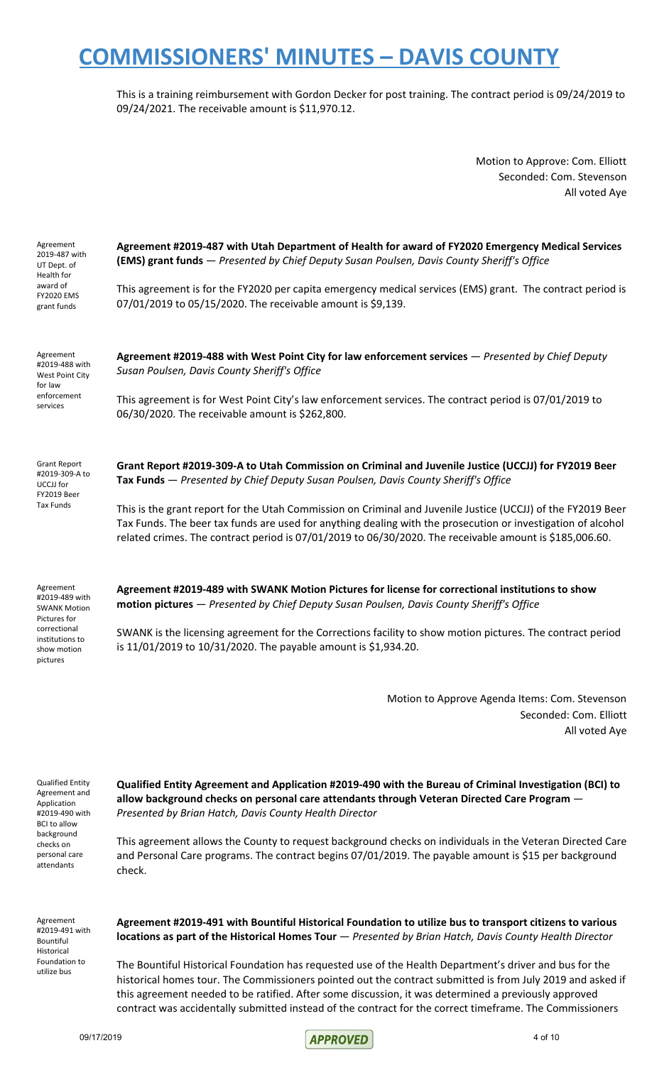This is a training reimbursement with Gordon Decker for post training. The contract period is 09/24/2019 to 09/24/2021. The receivable amount is \$11,970.12.

> Motion to Approve: Com. Elliott Seconded: Com. Stevenson All voted Aye

| Agreement<br>2019-487 with<br>UT Dept. of<br>Health for<br>award of<br><b>FY2020 EMS</b><br>grant funds                                                    | Agreement #2019-487 with Utah Department of Health for award of FY2020 Emergency Medical Services<br>(EMS) grant funds - Presented by Chief Deputy Susan Poulsen, Davis County Sheriff's Office<br>This agreement is for the FY2020 per capita emergency medical services (EMS) grant. The contract period is<br>07/01/2019 to 05/15/2020. The receivable amount is \$9,139.                                                                                                                                                                                                                                                                                     |
|------------------------------------------------------------------------------------------------------------------------------------------------------------|------------------------------------------------------------------------------------------------------------------------------------------------------------------------------------------------------------------------------------------------------------------------------------------------------------------------------------------------------------------------------------------------------------------------------------------------------------------------------------------------------------------------------------------------------------------------------------------------------------------------------------------------------------------|
| Agreement<br>#2019-488 with<br>West Point City<br>for law<br>enforcement<br>services                                                                       | Agreement #2019-488 with West Point City for law enforcement services - Presented by Chief Deputy<br>Susan Poulsen, Davis County Sheriff's Office<br>This agreement is for West Point City's law enforcement services. The contract period is 07/01/2019 to<br>06/30/2020. The receivable amount is \$262,800.                                                                                                                                                                                                                                                                                                                                                   |
| <b>Grant Report</b><br>#2019-309-A to<br>UCCJJ for<br>FY2019 Beer<br>Tax Funds                                                                             | Grant Report #2019-309-A to Utah Commission on Criminal and Juvenile Justice (UCCJJ) for FY2019 Beer<br>Tax Funds - Presented by Chief Deputy Susan Poulsen, Davis County Sheriff's Office<br>This is the grant report for the Utah Commission on Criminal and Juvenile Justice (UCCJJ) of the FY2019 Beer<br>Tax Funds. The beer tax funds are used for anything dealing with the prosecution or investigation of alcohol<br>related crimes. The contract period is 07/01/2019 to 06/30/2020. The receivable amount is \$185,006.60.                                                                                                                            |
| Agreement<br>#2019-489 with<br><b>SWANK Motion</b><br>Pictures for<br>correctional<br>institutions to<br>show motion<br>pictures                           | Agreement #2019-489 with SWANK Motion Pictures for license for correctional institutions to show<br>motion pictures - Presented by Chief Deputy Susan Poulsen, Davis County Sheriff's Office<br>SWANK is the licensing agreement for the Corrections facility to show motion pictures. The contract period<br>is 11/01/2019 to 10/31/2020. The payable amount is \$1,934.20.                                                                                                                                                                                                                                                                                     |
|                                                                                                                                                            | Motion to Approve Agenda Items: Com. Stevenson<br>Seconded: Com. Elliott<br>All voted Aye                                                                                                                                                                                                                                                                                                                                                                                                                                                                                                                                                                        |
| <b>Qualified Entity</b><br>Agreement and<br>Application<br>#2019-490 with<br><b>BCI</b> to allow<br>background<br>checks on<br>personal care<br>attendants | Qualified Entity Agreement and Application #2019-490 with the Bureau of Criminal Investigation (BCI) to<br>allow background checks on personal care attendants through Veteran Directed Care Program -<br>Presented by Brian Hatch, Davis County Health Director<br>This agreement allows the County to request background checks on individuals in the Veteran Directed Care<br>and Personal Care programs. The contract begins 07/01/2019. The payable amount is \$15 per background<br>check.                                                                                                                                                                 |
| Agreement<br>#2019-491 with<br>Bountiful<br>Historical<br>Foundation to<br>utilize bus                                                                     | Agreement #2019-491 with Bountiful Historical Foundation to utilize bus to transport citizens to various<br>locations as part of the Historical Homes Tour - Presented by Brian Hatch, Davis County Health Director<br>The Bountiful Historical Foundation has requested use of the Health Department's driver and bus for the<br>historical homes tour. The Commissioners pointed out the contract submitted is from July 2019 and asked if<br>this agreement needed to be ratified. After some discussion, it was determined a previously approved<br>contract was accidentally submitted instead of the contract for the correct timeframe. The Commissioners |

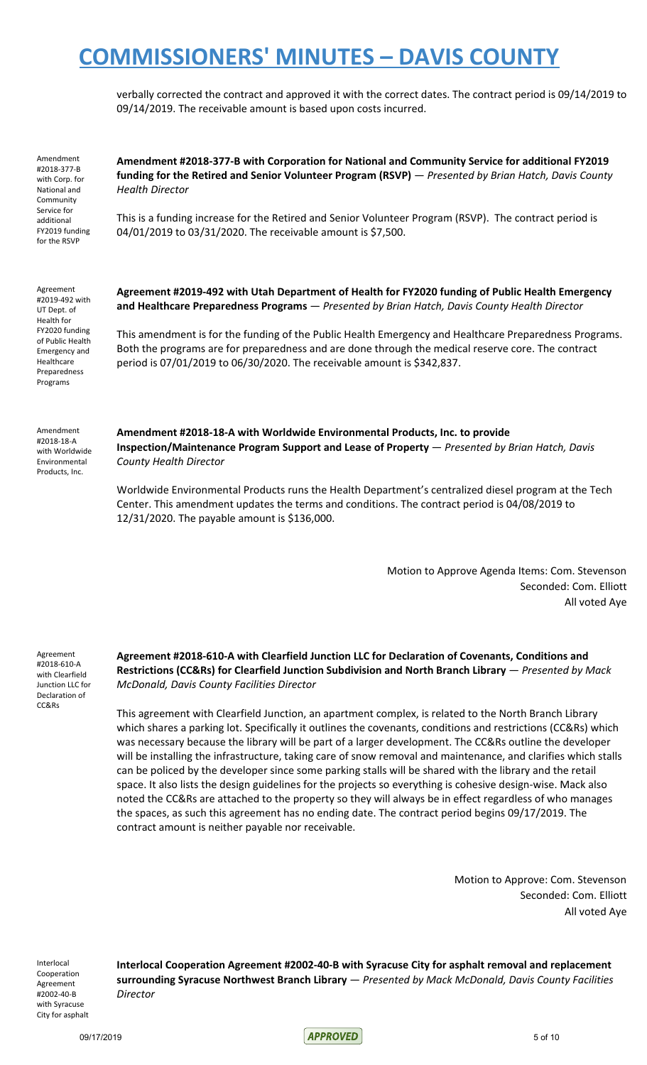verbally corrected the contract and approved it with the correct dates. The contract period is 09/14/2019 to 09/14/2019. The receivable amount is based upon costs incurred.

Amendment #2018-377-B with Corp. for National and Community Service for additional FY2019 funding for the RSVP

**Amendment #2018-377-B with Corporation for National and Community Service for additional FY2019 funding for the Retired and Senior Volunteer Program (RSVP)** — *Presented by Brian Hatch, Davis County Health Director*

This is a funding increase for the Retired and Senior Volunteer Program (RSVP). The contract period is 04/01/2019 to 03/31/2020. The receivable amount is \$7,500.

Agreement #2019-492 with UT Dept. of Health for FY2020 funding of Public Health Emergency and Healthcare Preparedness Programs

**Agreement #2019-492 with Utah Department of Health for FY2020 funding of Public Health Emergency and Healthcare Preparedness Programs** — *Presented by Brian Hatch, Davis County Health Director*

This amendment is for the funding of the Public Health Emergency and Healthcare Preparedness Programs. Both the programs are for preparedness and are done through the medical reserve core. The contract period is 07/01/2019 to 06/30/2020. The receivable amount is \$342,837.

Amendment #2018-18-A with Worldwide Environmental Products, Inc.

**Amendment #2018-18-A with Worldwide Environmental Products, Inc. to provide Inspection/Maintenance Program Support and Lease of Property** — *Presented by Brian Hatch, Davis County Health Director*

Worldwide Environmental Products runs the Health Department's centralized diesel program at the Tech Center. This amendment updates the terms and conditions. The contract period is 04/08/2019 to 12/31/2020. The payable amount is \$136,000.

> Motion to Approve Agenda Items: Com. Stevenson Seconded: Com. Elliott All voted Aye

Agreement #2018-610-A with Clearfield Junction LLC for Declaration of CC&Rs

**Agreement #2018-610-A with Clearfield Junction LLC for Declaration of Covenants, Conditions and Restrictions (CC&Rs) for Clearfield Junction Subdivision and North Branch Library** — *Presented by Mack McDonald, Davis County Facilities Director*

This agreement with Clearfield Junction, an apartment complex, is related to the North Branch Library which shares a parking lot. Specifically it outlines the covenants, conditions and restrictions (CC&Rs) which was necessary because the library will be part of a larger development. The CC&Rs outline the developer will be installing the infrastructure, taking care of snow removal and maintenance, and clarifies which stalls can be policed by the developer since some parking stalls will be shared with the library and the retail space. It also lists the design guidelines for the projects so everything is cohesive design-wise. Mack also noted the CC&Rs are attached to the property so they will always be in effect regardless of who manages the spaces, as such this agreement has no ending date. The contract period begins 09/17/2019. The contract amount is neither payable nor receivable.

> Motion to Approve: Com. Stevenson Seconded: Com. Elliott All voted Aye

Interlocal Cooperation Agreement #2002-40-B with Syracuse City for asphalt **Interlocal Cooperation Agreement #2002-40-B with Syracuse City for asphalt removal and replacement surrounding Syracuse Northwest Branch Library** — *Presented by Mack McDonald, Davis County Facilities Director*

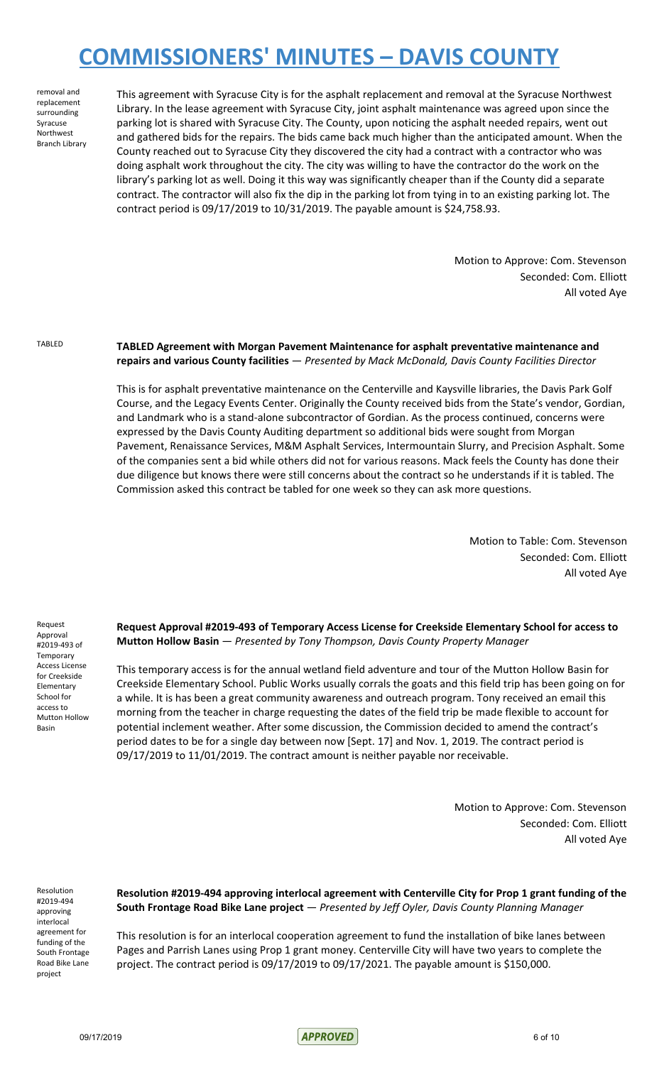removal and replacement surrounding Syracuse Northwest Branch Library This agreement with Syracuse City is for the asphalt replacement and removal at the Syracuse Northwest Library. In the lease agreement with Syracuse City, joint asphalt maintenance was agreed upon since the parking lot is shared with Syracuse City. The County, upon noticing the asphalt needed repairs, went out and gathered bids for the repairs. The bids came back much higher than the anticipated amount. When the County reached out to Syracuse City they discovered the city had a contract with a contractor who was doing asphalt work throughout the city. The city was willing to have the contractor do the work on the library's parking lot as well. Doing it this way was significantly cheaper than if the County did a separate contract. The contractor will also fix the dip in the parking lot from tying in to an existing parking lot. The contract period is 09/17/2019 to 10/31/2019. The payable amount is \$24,758.93.

> Motion to Approve: Com. Stevenson Seconded: Com. Elliott All voted Aye

TABLED **TABLED Agreement with Morgan Pavement Maintenance for asphalt preventative maintenance and repairs and various County facilities** — *Presented by Mack McDonald, Davis County Facilities Director*

> This is for asphalt preventative maintenance on the Centerville and Kaysville libraries, the Davis Park Golf Course, and the Legacy Events Center. Originally the County received bids from the State's vendor, Gordian, and Landmark who is a stand-alone subcontractor of Gordian. As the process continued, concerns were expressed by the Davis County Auditing department so additional bids were sought from Morgan Pavement, Renaissance Services, M&M Asphalt Services, Intermountain Slurry, and Precision Asphalt. Some of the companies sent a bid while others did not for various reasons. Mack feels the County has done their due diligence but knows there were still concerns about the contract so he understands if it is tabled. The Commission asked this contract be tabled for one week so they can ask more questions.

> > Motion to Table: Com. Stevenson Seconded: Com. Elliott All voted Aye

Request Approval #2019-493 of Temporary Access License for Creekside Elementary School for access to Mutton Hollow Basin

**Request Approval #2019-493 of Temporary Access License for Creekside Elementary School for access to Mutton Hollow Basin** — *Presented by Tony Thompson, Davis County Property Manager*

This temporary access is for the annual wetland field adventure and tour of the Mutton Hollow Basin for Creekside Elementary School. Public Works usually corrals the goats and this field trip has been going on for a while. It is has been a great community awareness and outreach program. Tony received an email this morning from the teacher in charge requesting the dates of the field trip be made flexible to account for potential inclement weather. After some discussion, the Commission decided to amend the contract's period dates to be for a single day between now [Sept. 17] and Nov. 1, 2019. The contract period is 09/17/2019 to 11/01/2019. The contract amount is neither payable nor receivable.

> Motion to Approve: Com. Stevenson Seconded: Com. Elliott All voted Aye

Resolution #2019-494 approving interlocal agreement for funding of the South Frontage Road Bike Lane project

**Resolution #2019-494 approving interlocal agreement with Centerville City for Prop 1 grant funding of the South Frontage Road Bike Lane project** — *Presented by Jeff Oyler, Davis County Planning Manager*

This resolution is for an interlocal cooperation agreement to fund the installation of bike lanes between Pages and Parrish Lanes using Prop 1 grant money. Centerville City will have two years to complete the project. The contract period is 09/17/2019 to 09/17/2021. The payable amount is \$150,000.

09/17/2019 6 of 10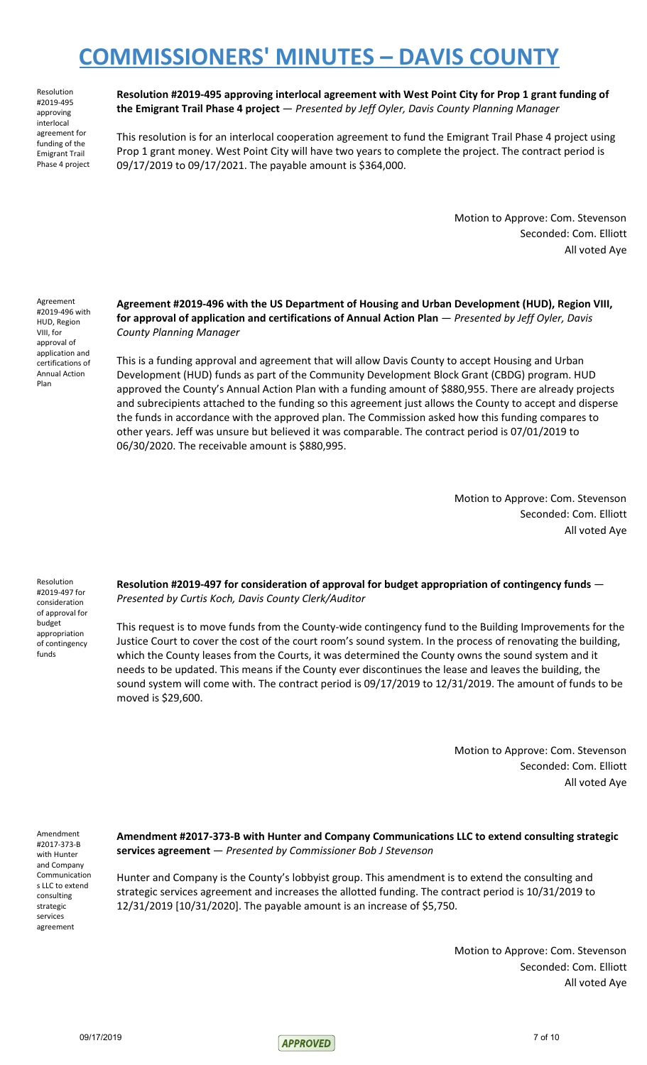Resolution #2019-495 approving interlocal agreement for funding of the Emigrant Trail Phase 4 project

**Resolution #2019-495 approving interlocal agreement with West Point City for Prop 1 grant funding of the Emigrant Trail Phase 4 project** — *Presented by Jeff Oyler, Davis County Planning Manager*

This resolution is for an interlocal cooperation agreement to fund the Emigrant Trail Phase 4 project using Prop 1 grant money. West Point City will have two years to complete the project. The contract period is 09/17/2019 to 09/17/2021. The payable amount is \$364,000.

> Motion to Approve: Com. Stevenson Seconded: Com. Elliott All voted Aye

Agreement #2019-496 with HUD, Region VIII, for approval of application and certifications of Annual Action Plan

**Agreement #2019-496 with the US Department of Housing and Urban Development (HUD), Region VIII, for approval of application and certifications of Annual Action Plan** — *Presented by Jeff Oyler, Davis County Planning Manager*

This is a funding approval and agreement that will allow Davis County to accept Housing and Urban Development (HUD) funds as part of the Community Development Block Grant (CBDG) program. HUD approved the County's Annual Action Plan with a funding amount of \$880,955. There are already projects and subrecipients attached to the funding so this agreement just allows the County to accept and disperse the funds in accordance with the approved plan. The Commission asked how this funding compares to other years. Jeff was unsure but believed it was comparable. The contract period is 07/01/2019 to 06/30/2020. The receivable amount is \$880,995.

> Motion to Approve: Com. Stevenson Seconded: Com. Elliott All voted Aye

Resolution #2019-497 for consideration of approval for budget appropriation of contingency funds

**Resolution #2019-497 for consideration of approval for budget appropriation of contingency funds** — *Presented by Curtis Koch, Davis County Clerk/Auditor*

This request is to move funds from the County-wide contingency fund to the Building Improvements for the Justice Court to cover the cost of the court room's sound system. In the process of renovating the building, which the County leases from the Courts, it was determined the County owns the sound system and it needs to be updated. This means if the County ever discontinues the lease and leaves the building, the sound system will come with. The contract period is 09/17/2019 to 12/31/2019. The amount of funds to be moved is \$29,600.

> Motion to Approve: Com. Stevenson Seconded: Com. Elliott All voted Aye

Amendment #2017-373-B with Hunter and Company Communication s LLC to extend consulting strategic services agreement

**Amendment #2017-373-B with Hunter and Company Communications LLC to extend consulting strategic services agreement** — *Presented by Commissioner Bob J Stevenson*

Hunter and Company is the County's lobbyist group. This amendment is to extend the consulting and strategic services agreement and increases the allotted funding. The contract period is 10/31/2019 to 12/31/2019 [10/31/2020]. The payable amount is an increase of \$5,750.

> Motion to Approve: Com. Stevenson Seconded: Com. Elliott All voted Aye

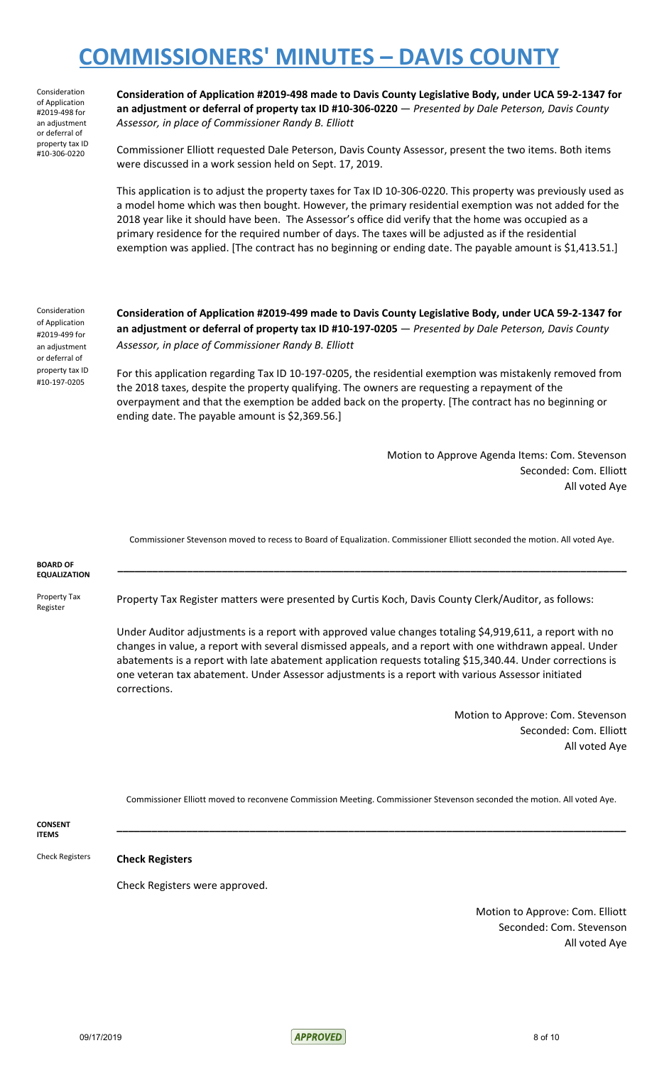Consideration of Application #2019-498 for an adjustment or deferral of property tax ID #10-306-0220

**Consideration of Application #2019-498 made to Davis County Legislative Body, under UCA 59-2-1347 for an adjustment or deferral of property tax ID #10-306-0220** — *Presented by Dale Peterson, Davis County Assessor, in place of Commissioner Randy B. Elliott*

Commissioner Elliott requested Dale Peterson, Davis County Assessor, present the two items. Both items were discussed in a work session held on Sept. 17, 2019.

This application is to adjust the property taxes for Tax ID 10-306-0220. This property was previously used as a model home which was then bought. However, the primary residential exemption was not added for the 2018 year like it should have been. The Assessor's office did verify that the home was occupied as a primary residence for the required number of days. The taxes will be adjusted as if the residential exemption was applied. [The contract has no beginning or ending date. The payable amount is \$1,413.51.]

Consideration of Application #2019-499 for an adjustment or deferral of property tax ID #10-197-0205

**Consideration of Application #2019-499 made to Davis County Legislative Body, under UCA 59-2-1347 for an adjustment or deferral of property tax ID #10-197-0205** — *Presented by Dale Peterson, Davis County Assessor, in place of Commissioner Randy B. Elliott*

For this application regarding Tax ID 10-197-0205, the residential exemption was mistakenly removed from the 2018 taxes, despite the property qualifying. The owners are requesting a repayment of the overpayment and that the exemption be added back on the property. [The contract has no beginning or ending date. The payable amount is \$2,369.56.]

> Motion to Approve Agenda Items: Com. Stevenson Seconded: Com. Elliott All voted Aye

Commissioner Stevenson moved to recess to Board of Equalization. Commissioner Elliott seconded the motion. All voted Aye.

**\_\_\_\_\_\_\_\_\_\_\_\_\_\_\_\_\_\_\_\_\_\_\_\_\_\_\_\_\_\_\_\_\_\_\_\_\_\_\_\_\_\_\_\_\_\_\_\_\_\_\_\_\_\_\_\_\_\_\_\_\_\_\_\_\_\_\_\_\_\_\_\_\_\_\_\_\_\_\_\_\_\_\_\_\_\_\_\_**

**BOARD OF EQUALIZATION**

Property Tax Register

Property Tax Register matters were presented by Curtis Koch, Davis County Clerk/Auditor, as follows:

Under Auditor adjustments is a report with approved value changes totaling \$4,919,611, a report with no changes in value, a report with several dismissed appeals, and a report with one withdrawn appeal. Under abatements is a report with late abatement application requests totaling \$15,340.44. Under corrections is one veteran tax abatement. Under Assessor adjustments is a report with various Assessor initiated corrections.

> Motion to Approve: Com. Stevenson Seconded: Com. Elliott All voted Aye

Commissioner Elliott moved to reconvene Commission Meeting. Commissioner Stevenson seconded the motion. All voted Aye.

**\_\_\_\_\_\_\_\_\_\_\_\_\_\_\_\_\_\_\_\_\_\_\_\_\_\_\_\_\_\_\_\_\_\_\_\_\_\_\_\_\_\_\_\_\_\_\_\_\_\_\_\_\_\_\_\_\_\_\_\_\_\_\_\_\_\_\_\_\_\_\_\_\_\_\_\_\_\_\_\_\_\_\_\_\_\_\_\_**

**CONSENT ITEMS**

Check Registers **Check Registers**

Check Registers were approved.

Motion to Approve: Com. Elliott Seconded: Com. Stevenson All voted Aye

09/17/2019 <mark>APPROVED</mark> 8 of 10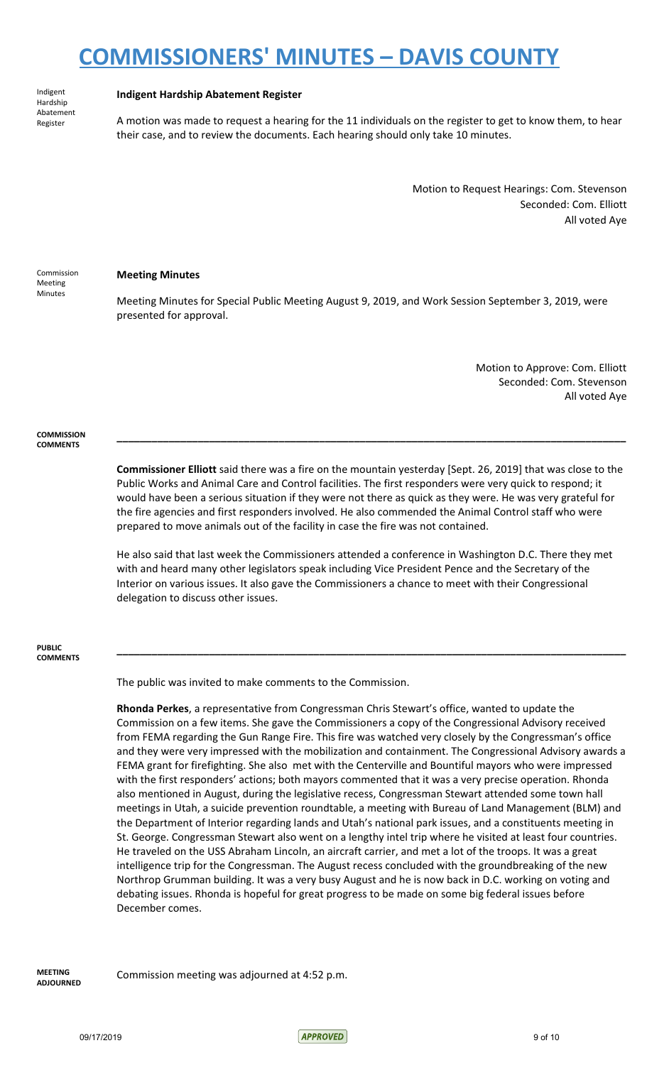Indigent Hardship Abatement Register

#### **Indigent Hardship Abatement Register**

A motion was made to request a hearing for the 11 individuals on the register to get to know them, to hear their case, and to review the documents. Each hearing should only take 10 minutes.

> Motion to Request Hearings: Com. Stevenson Seconded: Com. Elliott All voted Aye

Commission Meeting Minutes

#### **Meeting Minutes**

Meeting Minutes for Special Public Meeting August 9, 2019, and Work Session September 3, 2019, were presented for approval.

> Motion to Approve: Com. Elliott Seconded: Com. Stevenson All voted Aye

#### **COMMISSION COMMENTS**

**Commissioner Elliott** said there was a fire on the mountain yesterday [Sept. 26, 2019] that was close to the Public Works and Animal Care and Control facilities. The first responders were very quick to respond; it would have been a serious situation if they were not there as quick as they were. He was very grateful for the fire agencies and first responders involved. He also commended the Animal Control staff who were prepared to move animals out of the facility in case the fire was not contained.

**\_\_\_\_\_\_\_\_\_\_\_\_\_\_\_\_\_\_\_\_\_\_\_\_\_\_\_\_\_\_\_\_\_\_\_\_\_\_\_\_\_\_\_\_\_\_\_\_\_\_\_\_\_\_\_\_\_\_\_\_\_\_\_\_\_\_\_\_\_\_\_\_\_\_\_\_\_\_\_\_\_\_\_\_\_\_\_\_**

He also said that last week the Commissioners attended a conference in Washington D.C. There they met with and heard many other legislators speak including Vice President Pence and the Secretary of the Interior on various issues. It also gave the Commissioners a chance to meet with their Congressional delegation to discuss other issues.

**\_\_\_\_\_\_\_\_\_\_\_\_\_\_\_\_\_\_\_\_\_\_\_\_\_\_\_\_\_\_\_\_\_\_\_\_\_\_\_\_\_\_\_\_\_\_\_\_\_\_\_\_\_\_\_\_\_\_\_\_\_\_\_\_\_\_\_\_\_\_\_\_\_\_\_\_\_\_\_\_\_\_\_\_\_\_\_\_**

#### **PUBLIC COMMENTS**

The public was invited to make comments to the Commission.

**Rhonda Perkes**, a representative from Congressman Chris Stewart's office, wanted to update the Commission on a few items. She gave the Commissioners a copy of the Congressional Advisory received from FEMA regarding the Gun Range Fire. This fire was watched very closely by the Congressman's office and they were very impressed with the mobilization and containment. The Congressional Advisory awards a FEMA grant for firefighting. She also met with the Centerville and Bountiful mayors who were impressed with the first responders' actions; both mayors commented that it was a very precise operation. Rhonda also mentioned in August, during the legislative recess, Congressman Stewart attended some town hall meetings in Utah, a suicide prevention roundtable, a meeting with Bureau of Land Management (BLM) and the Department of Interior regarding lands and Utah's national park issues, and a constituents meeting in St. George. Congressman Stewart also went on a lengthy intel trip where he visited at least four countries. He traveled on the USS Abraham Lincoln, an aircraft carrier, and met a lot of the troops. It was a great intelligence trip for the Congressman. The August recess concluded with the groundbreaking of the new Northrop Grumman building. It was a very busy August and he is now back in D.C. working on voting and debating issues. Rhonda is hopeful for great progress to be made on some big federal issues before December comes.

**MEETING ADJOURNED** Commission meeting was adjourned at 4:52 p.m.

09/17/2019 <mark>APPROVED</mark> 9 of 10